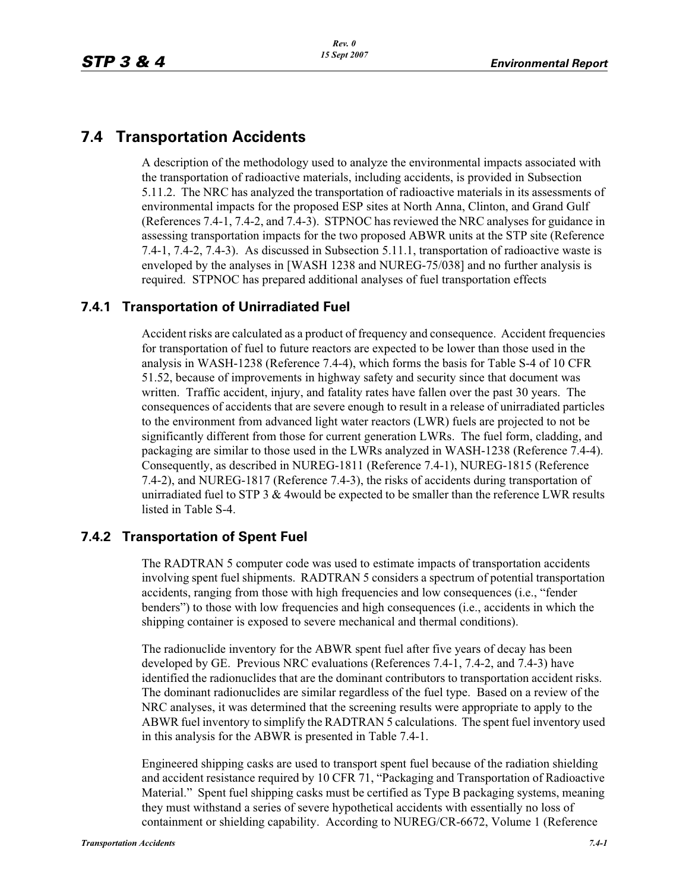# **7.4 Transportation Accidents**

A description of the methodology used to analyze the environmental impacts associated with the transportation of radioactive materials, including accidents, is provided in Subsection 5.11.2. The NRC has analyzed the transportation of radioactive materials in its assessments of environmental impacts for the proposed ESP sites at North Anna, Clinton, and Grand Gulf (References 7.4-1, 7.4-2, and 7.4-3). STPNOC has reviewed the NRC analyses for guidance in assessing transportation impacts for the two proposed ABWR units at the STP site (Reference 7.4-1, 7.4-2, 7.4-3). As discussed in Subsection 5.11.1, transportation of radioactive waste is enveloped by the analyses in [WASH 1238 and NUREG-75/038] and no further analysis is required. STPNOC has prepared additional analyses of fuel transportation effects

## **7.4.1 Transportation of Unirradiated Fuel**

Accident risks are calculated as a product of frequency and consequence. Accident frequencies for transportation of fuel to future reactors are expected to be lower than those used in the analysis in WASH-1238 (Reference 7.4-4), which forms the basis for Table S-4 of 10 CFR 51.52, because of improvements in highway safety and security since that document was written. Traffic accident, injury, and fatality rates have fallen over the past 30 years. The consequences of accidents that are severe enough to result in a release of unirradiated particles to the environment from advanced light water reactors (LWR) fuels are projected to not be significantly different from those for current generation LWRs. The fuel form, cladding, and packaging are similar to those used in the LWRs analyzed in WASH-1238 (Reference 7.4-4). Consequently, as described in NUREG-1811 (Reference 7.4-1), NUREG-1815 (Reference 7.4-2), and NUREG-1817 (Reference 7.4-3), the risks of accidents during transportation of unirradiated fuel to STP 3  $&$  4 would be expected to be smaller than the reference LWR results listed in Table S-4.

## **7.4.2 Transportation of Spent Fuel**

The RADTRAN 5 computer code was used to estimate impacts of transportation accidents involving spent fuel shipments. RADTRAN 5 considers a spectrum of potential transportation accidents, ranging from those with high frequencies and low consequences (i.e., "fender benders") to those with low frequencies and high consequences (i.e., accidents in which the shipping container is exposed to severe mechanical and thermal conditions).

The radionuclide inventory for the ABWR spent fuel after five years of decay has been developed by GE. Previous NRC evaluations (References 7.4-1, 7.4-2, and 7.4-3) have identified the radionuclides that are the dominant contributors to transportation accident risks. The dominant radionuclides are similar regardless of the fuel type. Based on a review of the NRC analyses, it was determined that the screening results were appropriate to apply to the ABWR fuel inventory to simplify the RADTRAN 5 calculations. The spent fuel inventory used in this analysis for the ABWR is presented in Table 7.4-1.

Engineered shipping casks are used to transport spent fuel because of the radiation shielding and accident resistance required by 10 CFR 71, "Packaging and Transportation of Radioactive Material." Spent fuel shipping casks must be certified as Type B packaging systems, meaning they must withstand a series of severe hypothetical accidents with essentially no loss of containment or shielding capability. According to NUREG/CR-6672, Volume 1 (Reference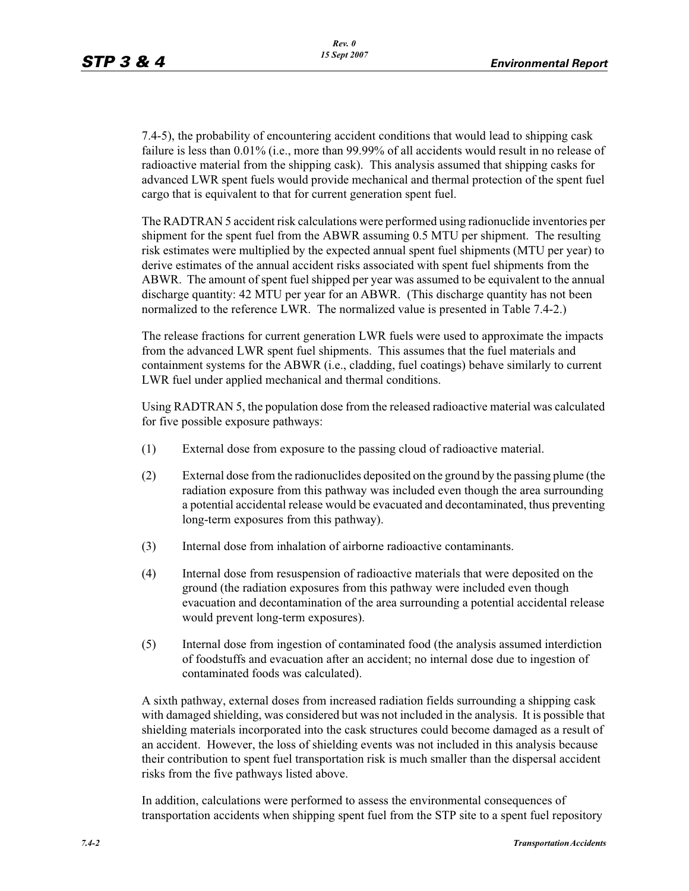7.4-5), the probability of encountering accident conditions that would lead to shipping cask failure is less than 0.01% (i.e., more than 99.99% of all accidents would result in no release of radioactive material from the shipping cask). This analysis assumed that shipping casks for advanced LWR spent fuels would provide mechanical and thermal protection of the spent fuel cargo that is equivalent to that for current generation spent fuel.

The RADTRAN 5 accident risk calculations were performed using radionuclide inventories per shipment for the spent fuel from the ABWR assuming 0.5 MTU per shipment. The resulting risk estimates were multiplied by the expected annual spent fuel shipments (MTU per year) to derive estimates of the annual accident risks associated with spent fuel shipments from the ABWR. The amount of spent fuel shipped per year was assumed to be equivalent to the annual discharge quantity: 42 MTU per year for an ABWR. (This discharge quantity has not been normalized to the reference LWR. The normalized value is presented in Table 7.4-2.)

The release fractions for current generation LWR fuels were used to approximate the impacts from the advanced LWR spent fuel shipments. This assumes that the fuel materials and containment systems for the ABWR (i.e., cladding, fuel coatings) behave similarly to current LWR fuel under applied mechanical and thermal conditions.

Using RADTRAN 5, the population dose from the released radioactive material was calculated for five possible exposure pathways:

- (1) External dose from exposure to the passing cloud of radioactive material.
- (2) External dose from the radionuclides deposited on the ground by the passing plume (the radiation exposure from this pathway was included even though the area surrounding a potential accidental release would be evacuated and decontaminated, thus preventing long-term exposures from this pathway).
- (3) Internal dose from inhalation of airborne radioactive contaminants.
- (4) Internal dose from resuspension of radioactive materials that were deposited on the ground (the radiation exposures from this pathway were included even though evacuation and decontamination of the area surrounding a potential accidental release would prevent long-term exposures).
- (5) Internal dose from ingestion of contaminated food (the analysis assumed interdiction of foodstuffs and evacuation after an accident; no internal dose due to ingestion of contaminated foods was calculated).

A sixth pathway, external doses from increased radiation fields surrounding a shipping cask with damaged shielding, was considered but was not included in the analysis. It is possible that shielding materials incorporated into the cask structures could become damaged as a result of an accident. However, the loss of shielding events was not included in this analysis because their contribution to spent fuel transportation risk is much smaller than the dispersal accident risks from the five pathways listed above.

In addition, calculations were performed to assess the environmental consequences of transportation accidents when shipping spent fuel from the STP site to a spent fuel repository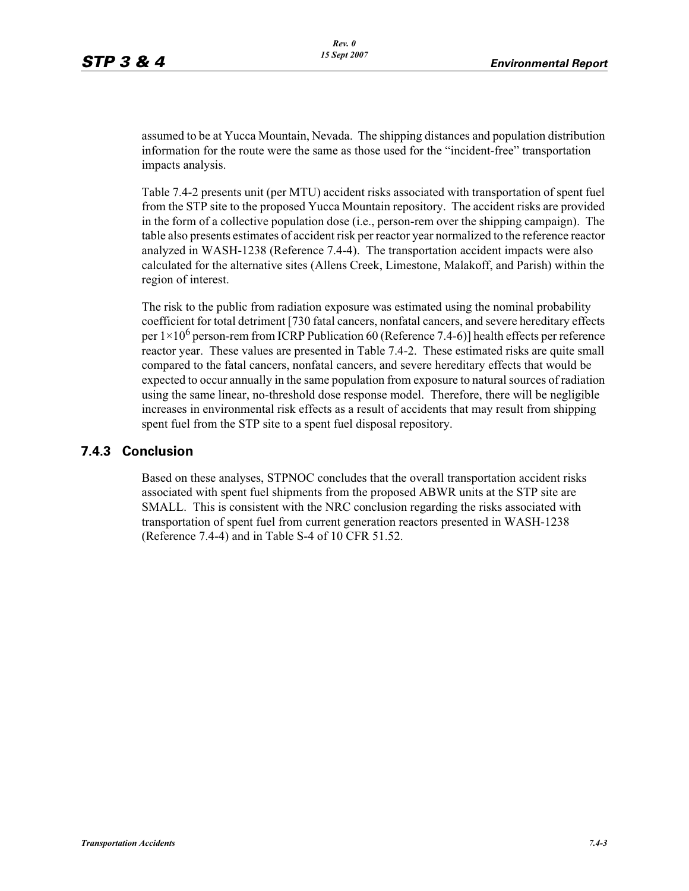assumed to be at Yucca Mountain, Nevada. The shipping distances and population distribution information for the route were the same as those used for the "incident-free" transportation impacts analysis.

Table 7.4-2 presents unit (per MTU) accident risks associated with transportation of spent fuel from the STP site to the proposed Yucca Mountain repository. The accident risks are provided in the form of a collective population dose (i.e., person-rem over the shipping campaign). The table also presents estimates of accident risk per reactor year normalized to the reference reactor analyzed in WASH-1238 (Reference 7.4-4). The transportation accident impacts were also calculated for the alternative sites (Allens Creek, Limestone, Malakoff, and Parish) within the region of interest.

The risk to the public from radiation exposure was estimated using the nominal probability coefficient for total detriment [730 fatal cancers, nonfatal cancers, and severe hereditary effects per  $1 \times 10^6$  person-rem from ICRP Publication 60 (Reference 7.4-6)] health effects per reference reactor year. These values are presented in Table 7.4-2. These estimated risks are quite small compared to the fatal cancers, nonfatal cancers, and severe hereditary effects that would be expected to occur annually in the same population from exposure to natural sources of radiation using the same linear, no-threshold dose response model. Therefore, there will be negligible increases in environmental risk effects as a result of accidents that may result from shipping spent fuel from the STP site to a spent fuel disposal repository.

#### **7.4.3 Conclusion**

Based on these analyses, STPNOC concludes that the overall transportation accident risks associated with spent fuel shipments from the proposed ABWR units at the STP site are SMALL. This is consistent with the NRC conclusion regarding the risks associated with transportation of spent fuel from current generation reactors presented in WASH-1238 (Reference 7.4-4) and in Table S-4 of 10 CFR 51.52.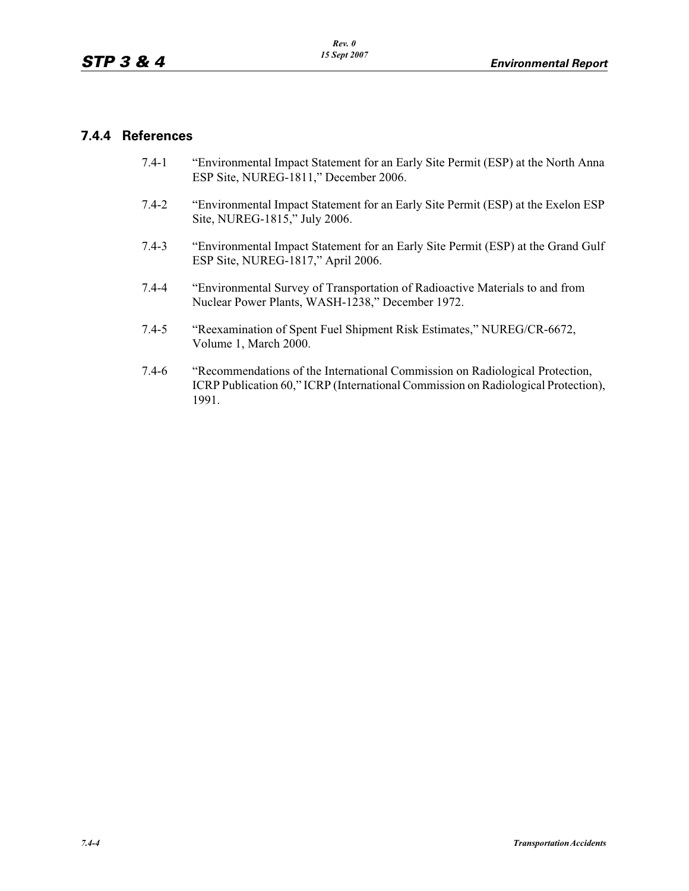#### **7.4.4 References**

- 7.4-1 "Environmental Impact Statement for an Early Site Permit (ESP) at the North Anna ESP Site, NUREG-1811," December 2006.
- 7.4-2 "Environmental Impact Statement for an Early Site Permit (ESP) at the Exelon ESP Site, NUREG-1815," July 2006.
- 7.4-3 "Environmental Impact Statement for an Early Site Permit (ESP) at the Grand Gulf ESP Site, NUREG-1817," April 2006.
- 7.4-4 "Environmental Survey of Transportation of Radioactive Materials to and from Nuclear Power Plants, WASH-1238," December 1972.
- 7.4-5 "Reexamination of Spent Fuel Shipment Risk Estimates," NUREG/CR-6672, Volume 1, March 2000.
- 7.4-6 "Recommendations of the International Commission on Radiological Protection, ICRP Publication 60," ICRP (International Commission on Radiological Protection), 1991.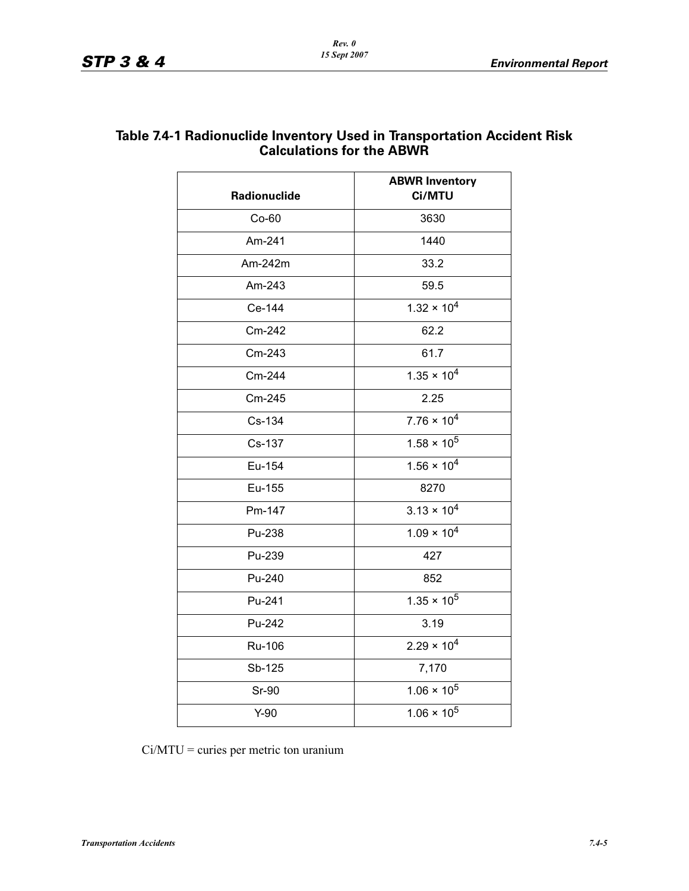| <b>Radionuclide</b> | <b>ABWR Inventory</b><br>Ci/MTU |  |
|---------------------|---------------------------------|--|
| $Co-60$             | 3630                            |  |
| Am-241              | 1440                            |  |
| Am-242m             | 33.2                            |  |
| Am-243              | 59.5                            |  |
| Ce-144              | $1.32 \times 10^{4}$            |  |
| Cm-242              | 62.2                            |  |
| Cm-243              | 61.7                            |  |
| Cm-244              | $1.35 \times 10^{4}$            |  |
| Cm-245              | 2.25                            |  |
| Cs-134              | $7.76 \times 10^{4}$            |  |
| Cs-137              | $1.58 \times 10^5$              |  |
| Eu-154              | $1.56 \times 10^{4}$            |  |
| Eu-155              | 8270                            |  |
| Pm-147              | $3.13 \times 10^{4}$            |  |
| Pu-238              | $1.09 \times 10^{4}$            |  |
| Pu-239              | 427                             |  |
| Pu-240              | 852                             |  |
| Pu-241              | $1.35 \times 10^5$              |  |
| Pu-242              | 3.19                            |  |
| Ru-106              | $2.29 \times 10^{4}$            |  |
| Sb-125              | 7,170                           |  |
| Sr-90               | $1.06 \times 10^5$              |  |
| $Y-90$              | $1.06 \times 10^5$              |  |

## **Table 7.4-1 Radionuclide Inventory Used in Transportation Accident Risk Calculations for the ABWR**

Ci/MTU = curies per metric ton uranium